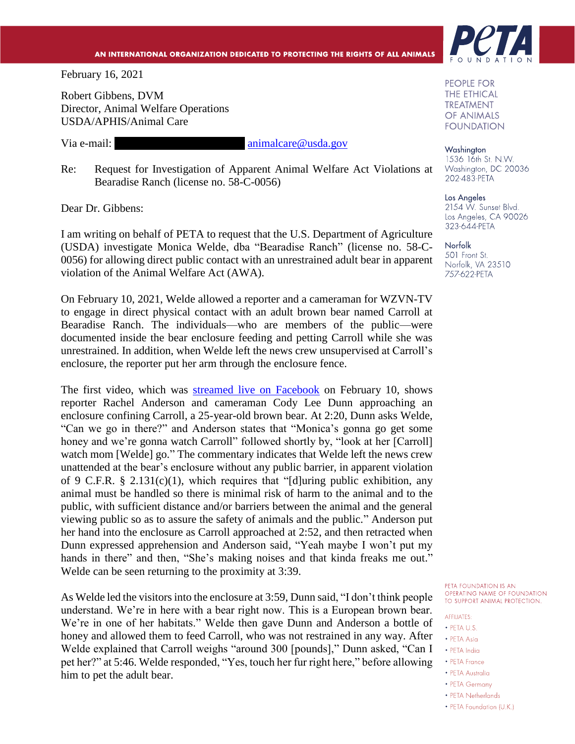## AN INTERNATIONAL ORGANIZATION DEDICATED TO PROTECTING THE RIGHTS OF ALL ANIMALS

February 16, 2021

Robert Gibbens, DVM Director, Animal Welfare Operations USDA/APHIS/Animal Care

Via e-mail: **robert.m.gibbens** [animalcare@usda.gov](mailto:animalcare@usda.gov)

Re: Request for Investigation of Apparent Animal Welfare Act Violations at Bearadise Ranch (license no. 58-C-0056)

Dear Dr. Gibbens:

I am writing on behalf of PETA to request that the U.S. Department of Agriculture (USDA) investigate Monica Welde, dba "Bearadise Ranch" (license no. 58-C-0056) for allowing direct public contact with an unrestrained adult bear in apparent violation of the Animal Welfare Act (AWA).

On February 10, 2021, Welde allowed a reporter and a cameraman for WZVN-TV to engage in direct physical contact with an adult brown bear named Carroll at Bearadise Ranch. The individuals—who are members of the public—were documented inside the bear enclosure feeding and petting Carroll while she was unrestrained. In addition, when Welde left the news crew unsupervised at Carroll's enclosure, the reporter put her arm through the enclosure fence.

The first video, which was [streamed live on Facebook](https://www.facebook.com/211685878849399/videos/452964859479792) on February 10, shows reporter Rachel Anderson and cameraman Cody Lee Dunn approaching an enclosure confining Carroll, a 25-year-old brown bear. At 2:20, Dunn asks Welde, "Can we go in there?" and Anderson states that "Monica's gonna go get some honey and we're gonna watch Carroll" followed shortly by, "look at her [Carroll] watch mom [Welde] go." The commentary indicates that Welde left the news crew unattended at the bear's enclosure without any public barrier, in apparent violation of 9 C.F.R. § 2.131(c)(1), which requires that "[d]uring public exhibition, any animal must be handled so there is minimal risk of harm to the animal and to the public, with sufficient distance and/or barriers between the animal and the general viewing public so as to assure the safety of animals and the public." Anderson put her hand into the enclosure as Carroll approached at 2:52, and then retracted when Dunn expressed apprehension and Anderson said, "Yeah maybe I won't put my hands in there" and then, "She's making noises and that kinda freaks me out." Welde can be seen returning to the proximity at 3:39.

As Welde led the visitorsinto the enclosure at 3:59, Dunn said, "I don't think people understand. We're in here with a bear right now. This is a European brown bear. We're in one of her habitats." Welde then gave Dunn and Anderson a bottle of honey and allowed them to feed Carroll, who was not restrained in any way. After Welde explained that Carroll weighs "around 300 [pounds]," Dunn asked, "Can I pet her?" at 5:46. Welde responded, "Yes, touch her fur right here," before allowing him to pet the adult bear.



PEOPLE FOR **THE ETHICAL TREATMENT** OF ANIMALS **FOUNDATION** 

Washington 1536 16th St. N.W. Washington, DC 20036 202-483-PETA

Los Angeles 2154 W. Sunset Blvd. Los Angeles, CA 90026 323-644-PETA

Norfolk 501 Front St. Norfolk, VA 23510 757-622-PETA

PETA FOUNDATION IS AN OPERATING NAME OF FOUNDATION TO SUPPORT ANIMAL PROTECTION.

## **AFFILIATES:**

- PETA U.S.
- PETA Asia
- · PETA India
- PETA France
- PETA Australia
- PETA Germany
- PETA Netherlands
- PETA Foundation (U.K.)